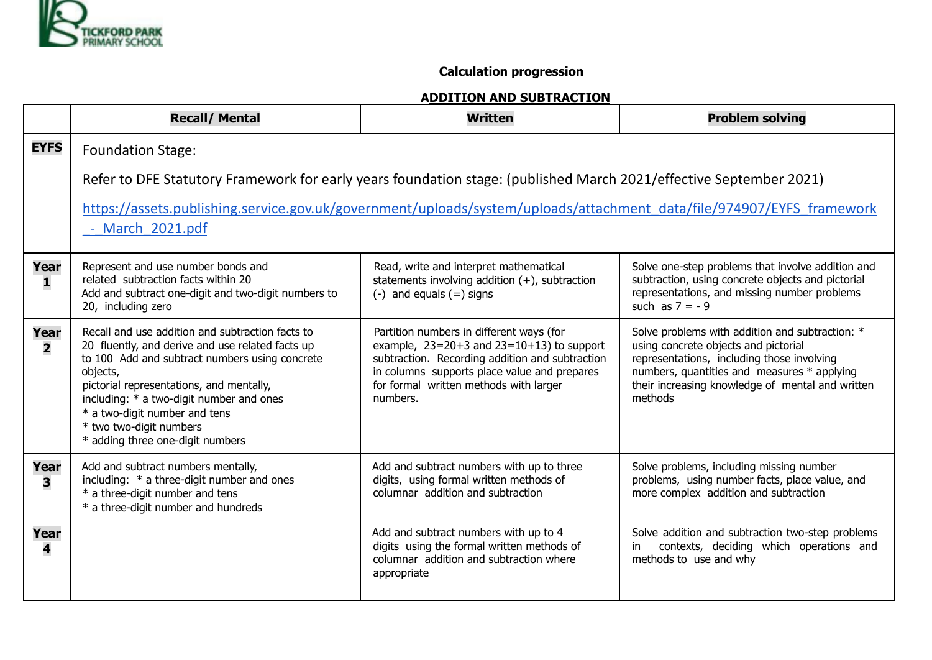

## **Calculation progression**

## **ADDITION AND SUBTRACTION**

|                                 | <b>Recall/ Mental</b>                                                                                                                                                                                                                                                                                                                                      | <b>Written</b>                                                                                                                                                                                                                                      | <b>Problem solving</b>                                                                                                                                                                                                                              |  |  |
|---------------------------------|------------------------------------------------------------------------------------------------------------------------------------------------------------------------------------------------------------------------------------------------------------------------------------------------------------------------------------------------------------|-----------------------------------------------------------------------------------------------------------------------------------------------------------------------------------------------------------------------------------------------------|-----------------------------------------------------------------------------------------------------------------------------------------------------------------------------------------------------------------------------------------------------|--|--|
| <b>EYFS</b>                     | <b>Foundation Stage:</b>                                                                                                                                                                                                                                                                                                                                   |                                                                                                                                                                                                                                                     |                                                                                                                                                                                                                                                     |  |  |
|                                 | Refer to DFE Statutory Framework for early years foundation stage: (published March 2021/effective September 2021)                                                                                                                                                                                                                                         |                                                                                                                                                                                                                                                     |                                                                                                                                                                                                                                                     |  |  |
|                                 | https://assets.publishing.service.gov.uk/government/uploads/system/uploads/attachment_data/file/974907/EYFS_framework<br>- March 2021.pdf                                                                                                                                                                                                                  |                                                                                                                                                                                                                                                     |                                                                                                                                                                                                                                                     |  |  |
| Year<br>1                       | Represent and use number bonds and<br>related subtraction facts within 20<br>Add and subtract one-digit and two-digit numbers to<br>20, including zero                                                                                                                                                                                                     | Read, write and interpret mathematical<br>statements involving addition $(+)$ , subtraction<br>$(-)$ and equals $(=)$ signs                                                                                                                         | Solve one-step problems that involve addition and<br>subtraction, using concrete objects and pictorial<br>representations, and missing number problems<br>such as $7 = -9$                                                                          |  |  |
| Year<br>$\overline{\mathbf{2}}$ | Recall and use addition and subtraction facts to<br>20 fluently, and derive and use related facts up<br>to 100 Add and subtract numbers using concrete<br>objects,<br>pictorial representations, and mentally,<br>including: * a two-digit number and ones<br>* a two-digit number and tens<br>* two two-digit numbers<br>* adding three one-digit numbers | Partition numbers in different ways (for<br>example, $23=20+3$ and $23=10+13$ ) to support<br>subtraction. Recording addition and subtraction<br>in columns supports place value and prepares<br>for formal written methods with larger<br>numbers. | Solve problems with addition and subtraction: *<br>using concrete objects and pictorial<br>representations, including those involving<br>numbers, quantities and measures * applying<br>their increasing knowledge of mental and written<br>methods |  |  |
| Year<br>3                       | Add and subtract numbers mentally,<br>including: * a three-digit number and ones<br>* a three-digit number and tens<br>* a three-digit number and hundreds                                                                                                                                                                                                 | Add and subtract numbers with up to three<br>digits, using formal written methods of<br>columnar addition and subtraction                                                                                                                           | Solve problems, including missing number<br>problems, using number facts, place value, and<br>more complex addition and subtraction                                                                                                                 |  |  |
| Year<br>4                       |                                                                                                                                                                                                                                                                                                                                                            | Add and subtract numbers with up to 4<br>digits using the formal written methods of<br>columnar addition and subtraction where<br>appropriate                                                                                                       | Solve addition and subtraction two-step problems<br>contexts, deciding which operations and<br>in<br>methods to use and why                                                                                                                         |  |  |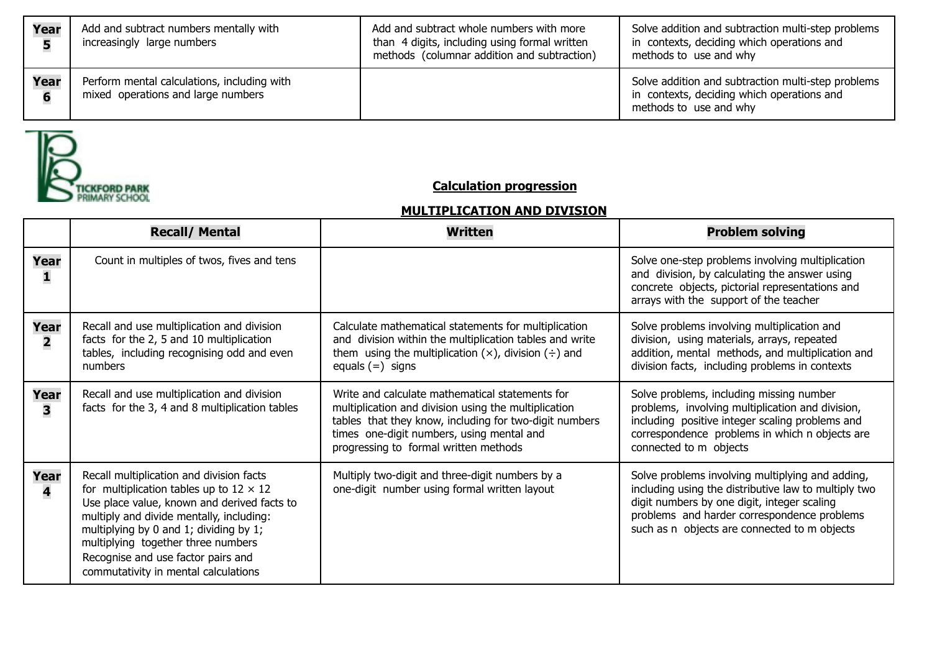| Year      | Add and subtract numbers mentally with<br>increasingly large numbers              | Add and subtract whole numbers with more<br>than 4 digits, including using formal written<br>methods (columnar addition and subtraction) | Solve addition and subtraction multi-step problems<br>in contexts, deciding which operations and<br>methods to use and why |
|-----------|-----------------------------------------------------------------------------------|------------------------------------------------------------------------------------------------------------------------------------------|----------------------------------------------------------------------------------------------------------------------------|
| Year<br>6 | Perform mental calculations, including with<br>mixed operations and large numbers |                                                                                                                                          | Solve addition and subtraction multi-step problems<br>in contexts, deciding which operations and<br>methods to use and why |



## **Calculation progression**

## **MULTIPLICATION AND DIVISION**

|                                 | <b>Recall/ Mental</b>                                                                                                                                                                                                                                                                                                                               | <b>Written</b>                                                                                                                                                                                                                                          | <b>Problem solving</b>                                                                                                                                                                                                                                 |
|---------------------------------|-----------------------------------------------------------------------------------------------------------------------------------------------------------------------------------------------------------------------------------------------------------------------------------------------------------------------------------------------------|---------------------------------------------------------------------------------------------------------------------------------------------------------------------------------------------------------------------------------------------------------|--------------------------------------------------------------------------------------------------------------------------------------------------------------------------------------------------------------------------------------------------------|
| Year<br>ı                       | Count in multiples of twos, fives and tens                                                                                                                                                                                                                                                                                                          |                                                                                                                                                                                                                                                         | Solve one-step problems involving multiplication<br>and division, by calculating the answer using<br>concrete objects, pictorial representations and<br>arrays with the support of the teacher                                                         |
| Year<br>$\overline{\mathbf{2}}$ | Recall and use multiplication and division<br>facts for the 2, 5 and 10 multiplication<br>tables, including recognising odd and even<br>numbers                                                                                                                                                                                                     | Calculate mathematical statements for multiplication<br>and division within the multiplication tables and write<br>them using the multiplication $(x)$ , division $(\div)$ and<br>equals $(=)$ signs                                                    | Solve problems involving multiplication and<br>division, using materials, arrays, repeated<br>addition, mental methods, and multiplication and<br>division facts, including problems in contexts                                                       |
| Year<br>3                       | Recall and use multiplication and division<br>facts for the 3, 4 and 8 multiplication tables                                                                                                                                                                                                                                                        | Write and calculate mathematical statements for<br>multiplication and division using the multiplication<br>tables that they know, including for two-digit numbers<br>times one-digit numbers, using mental and<br>progressing to formal written methods | Solve problems, including missing number<br>problems, involving multiplication and division,<br>including positive integer scaling problems and<br>correspondence problems in which n objects are<br>connected to m objects                            |
| Year<br>4                       | Recall multiplication and division facts<br>for multiplication tables up to $12 \times 12$<br>Use place value, known and derived facts to<br>multiply and divide mentally, including:<br>multiplying by 0 and 1; dividing by 1;<br>multiplying together three numbers<br>Recognise and use factor pairs and<br>commutativity in mental calculations | Multiply two-digit and three-digit numbers by a<br>one-digit number using formal written layout                                                                                                                                                         | Solve problems involving multiplying and adding,<br>including using the distributive law to multiply two<br>digit numbers by one digit, integer scaling<br>problems and harder correspondence problems<br>such as n objects are connected to m objects |